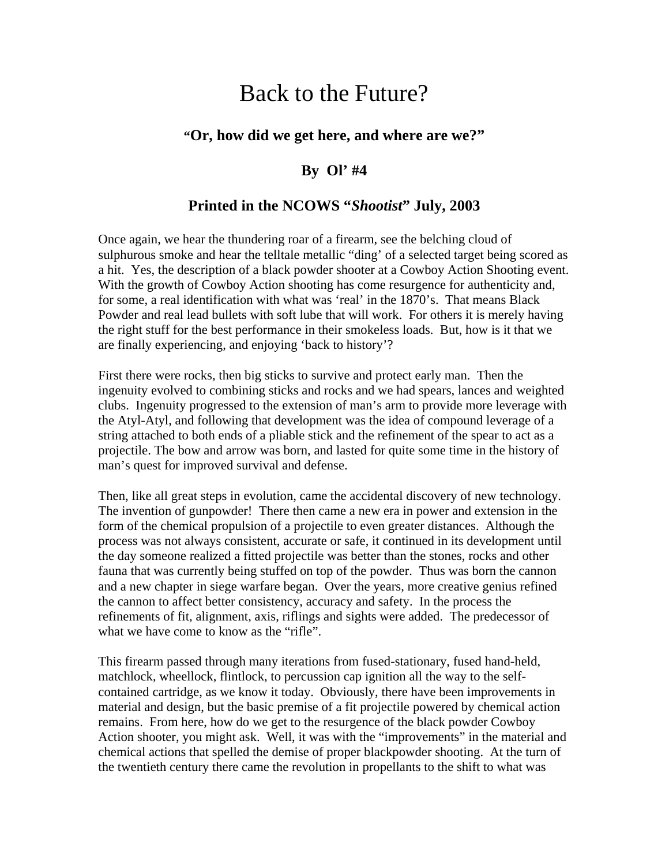# Back to the Future?

# **"Or, how did we get here, and where are we?"**

### **By Ol' #4**

# **Printed in the NCOWS "***Shootist***" July, 2003**

Once again, we hear the thundering roar of a firearm, see the belching cloud of sulphurous smoke and hear the telltale metallic "ding' of a selected target being scored as a hit. Yes, the description of a black powder shooter at a Cowboy Action Shooting event. With the growth of Cowboy Action shooting has come resurgence for authenticity and, for some, a real identification with what was 'real' in the 1870's. That means Black Powder and real lead bullets with soft lube that will work. For others it is merely having the right stuff for the best performance in their smokeless loads. But, how is it that we are finally experiencing, and enjoying 'back to history'?

First there were rocks, then big sticks to survive and protect early man. Then the ingenuity evolved to combining sticks and rocks and we had spears, lances and weighted clubs. Ingenuity progressed to the extension of man's arm to provide more leverage with the Atyl-Atyl, and following that development was the idea of compound leverage of a string attached to both ends of a pliable stick and the refinement of the spear to act as a projectile. The bow and arrow was born, and lasted for quite some time in the history of man's quest for improved survival and defense.

Then, like all great steps in evolution, came the accidental discovery of new technology. The invention of gunpowder! There then came a new era in power and extension in the form of the chemical propulsion of a projectile to even greater distances. Although the process was not always consistent, accurate or safe, it continued in its development until the day someone realized a fitted projectile was better than the stones, rocks and other fauna that was currently being stuffed on top of the powder. Thus was born the cannon and a new chapter in siege warfare began. Over the years, more creative genius refined the cannon to affect better consistency, accuracy and safety. In the process the refinements of fit, alignment, axis, riflings and sights were added. The predecessor of what we have come to know as the "rifle".

This firearm passed through many iterations from fused-stationary, fused hand-held, matchlock, wheellock, flintlock, to percussion cap ignition all the way to the selfcontained cartridge, as we know it today. Obviously, there have been improvements in material and design, but the basic premise of a fit projectile powered by chemical action remains. From here, how do we get to the resurgence of the black powder Cowboy Action shooter, you might ask. Well, it was with the "improvements" in the material and chemical actions that spelled the demise of proper blackpowder shooting. At the turn of the twentieth century there came the revolution in propellants to the shift to what was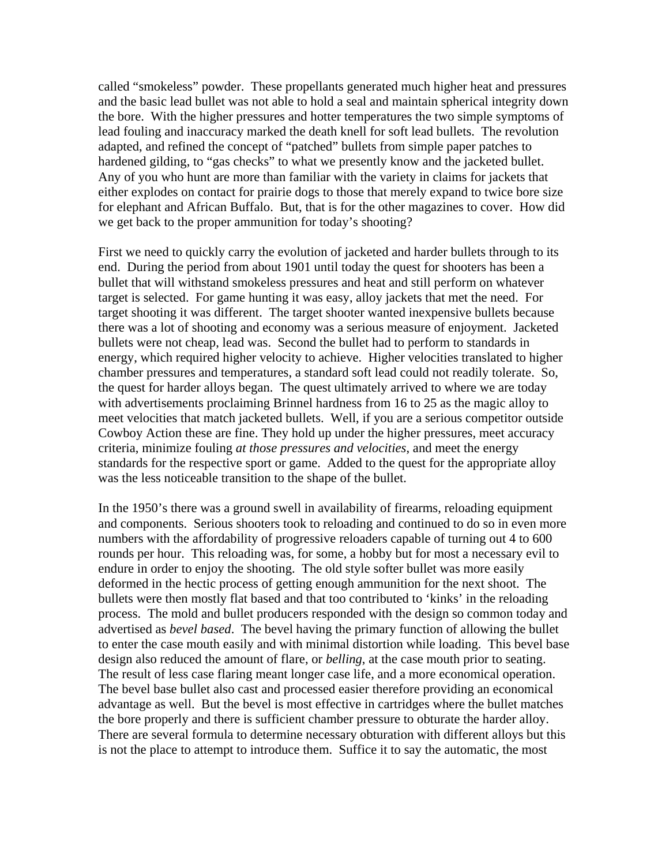called "smokeless" powder. These propellants generated much higher heat and pressures and the basic lead bullet was not able to hold a seal and maintain spherical integrity down the bore. With the higher pressures and hotter temperatures the two simple symptoms of lead fouling and inaccuracy marked the death knell for soft lead bullets. The revolution adapted, and refined the concept of "patched" bullets from simple paper patches to hardened gilding, to "gas checks" to what we presently know and the jacketed bullet. Any of you who hunt are more than familiar with the variety in claims for jackets that either explodes on contact for prairie dogs to those that merely expand to twice bore size for elephant and African Buffalo. But, that is for the other magazines to cover. How did we get back to the proper ammunition for today's shooting?

First we need to quickly carry the evolution of jacketed and harder bullets through to its end. During the period from about 1901 until today the quest for shooters has been a bullet that will withstand smokeless pressures and heat and still perform on whatever target is selected. For game hunting it was easy, alloy jackets that met the need. For target shooting it was different. The target shooter wanted inexpensive bullets because there was a lot of shooting and economy was a serious measure of enjoyment. Jacketed bullets were not cheap, lead was. Second the bullet had to perform to standards in energy, which required higher velocity to achieve. Higher velocities translated to higher chamber pressures and temperatures, a standard soft lead could not readily tolerate. So, the quest for harder alloys began. The quest ultimately arrived to where we are today with advertisements proclaiming Brinnel hardness from 16 to 25 as the magic alloy to meet velocities that match jacketed bullets. Well, if you are a serious competitor outside Cowboy Action these are fine. They hold up under the higher pressures, meet accuracy criteria, minimize fouling *at those pressures and velocities*, and meet the energy standards for the respective sport or game. Added to the quest for the appropriate alloy was the less noticeable transition to the shape of the bullet.

In the 1950's there was a ground swell in availability of firearms, reloading equipment and components. Serious shooters took to reloading and continued to do so in even more numbers with the affordability of progressive reloaders capable of turning out 4 to 600 rounds per hour. This reloading was, for some, a hobby but for most a necessary evil to endure in order to enjoy the shooting. The old style softer bullet was more easily deformed in the hectic process of getting enough ammunition for the next shoot. The bullets were then mostly flat based and that too contributed to 'kinks' in the reloading process. The mold and bullet producers responded with the design so common today and advertised as *bevel based*. The bevel having the primary function of allowing the bullet to enter the case mouth easily and with minimal distortion while loading. This bevel base design also reduced the amount of flare, or *belling*, at the case mouth prior to seating. The result of less case flaring meant longer case life, and a more economical operation. The bevel base bullet also cast and processed easier therefore providing an economical advantage as well. But the bevel is most effective in cartridges where the bullet matches the bore properly and there is sufficient chamber pressure to obturate the harder alloy. There are several formula to determine necessary obturation with different alloys but this is not the place to attempt to introduce them. Suffice it to say the automatic, the most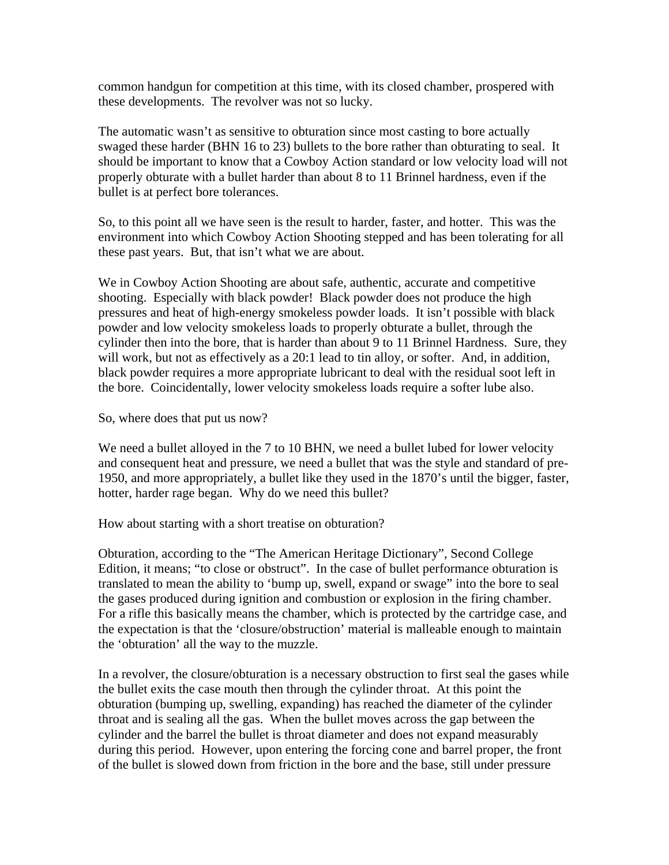common handgun for competition at this time, with its closed chamber, prospered with these developments. The revolver was not so lucky.

The automatic wasn't as sensitive to obturation since most casting to bore actually swaged these harder (BHN 16 to 23) bullets to the bore rather than obturating to seal. It should be important to know that a Cowboy Action standard or low velocity load will not properly obturate with a bullet harder than about 8 to 11 Brinnel hardness, even if the bullet is at perfect bore tolerances.

So, to this point all we have seen is the result to harder, faster, and hotter. This was the environment into which Cowboy Action Shooting stepped and has been tolerating for all these past years. But, that isn't what we are about.

We in Cowboy Action Shooting are about safe, authentic, accurate and competitive shooting. Especially with black powder! Black powder does not produce the high pressures and heat of high-energy smokeless powder loads. It isn't possible with black powder and low velocity smokeless loads to properly obturate a bullet, through the cylinder then into the bore, that is harder than about 9 to 11 Brinnel Hardness. Sure, they will work, but not as effectively as a 20:1 lead to tin alloy, or softer. And, in addition, black powder requires a more appropriate lubricant to deal with the residual soot left in the bore. Coincidentally, lower velocity smokeless loads require a softer lube also.

So, where does that put us now?

We need a bullet alloyed in the 7 to 10 BHN, we need a bullet lubed for lower velocity and consequent heat and pressure, we need a bullet that was the style and standard of pre-1950, and more appropriately, a bullet like they used in the 1870's until the bigger, faster, hotter, harder rage began. Why do we need this bullet?

How about starting with a short treatise on obturation?

Obturation, according to the "The American Heritage Dictionary", Second College Edition, it means; "to close or obstruct". In the case of bullet performance obturation is translated to mean the ability to 'bump up, swell, expand or swage" into the bore to seal the gases produced during ignition and combustion or explosion in the firing chamber. For a rifle this basically means the chamber, which is protected by the cartridge case, and the expectation is that the 'closure/obstruction' material is malleable enough to maintain the 'obturation' all the way to the muzzle.

In a revolver, the closure/obturation is a necessary obstruction to first seal the gases while the bullet exits the case mouth then through the cylinder throat. At this point the obturation (bumping up, swelling, expanding) has reached the diameter of the cylinder throat and is sealing all the gas. When the bullet moves across the gap between the cylinder and the barrel the bullet is throat diameter and does not expand measurably during this period. However, upon entering the forcing cone and barrel proper, the front of the bullet is slowed down from friction in the bore and the base, still under pressure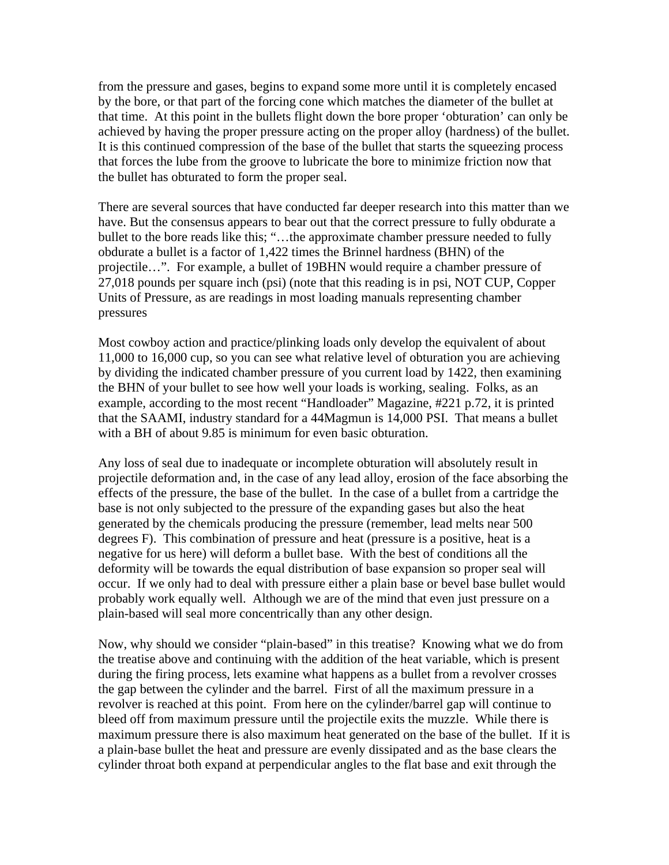from the pressure and gases, begins to expand some more until it is completely encased by the bore, or that part of the forcing cone which matches the diameter of the bullet at that time. At this point in the bullets flight down the bore proper 'obturation' can only be achieved by having the proper pressure acting on the proper alloy (hardness) of the bullet. It is this continued compression of the base of the bullet that starts the squeezing process that forces the lube from the groove to lubricate the bore to minimize friction now that the bullet has obturated to form the proper seal.

There are several sources that have conducted far deeper research into this matter than we have. But the consensus appears to bear out that the correct pressure to fully obdurate a bullet to the bore reads like this; "...the approximate chamber pressure needed to fully obdurate a bullet is a factor of 1,422 times the Brinnel hardness (BHN) of the projectile…". For example, a bullet of 19BHN would require a chamber pressure of 27,018 pounds per square inch (psi) (note that this reading is in psi, NOT CUP, Copper Units of Pressure, as are readings in most loading manuals representing chamber pressures

Most cowboy action and practice/plinking loads only develop the equivalent of about 11,000 to 16,000 cup, so you can see what relative level of obturation you are achieving by dividing the indicated chamber pressure of you current load by 1422, then examining the BHN of your bullet to see how well your loads is working, sealing. Folks, as an example, according to the most recent "Handloader" Magazine, #221 p.72, it is printed that the SAAMI, industry standard for a 44Magmun is 14,000 PSI. That means a bullet with a BH of about 9.85 is minimum for even basic obturation.

Any loss of seal due to inadequate or incomplete obturation will absolutely result in projectile deformation and, in the case of any lead alloy, erosion of the face absorbing the effects of the pressure, the base of the bullet. In the case of a bullet from a cartridge the base is not only subjected to the pressure of the expanding gases but also the heat generated by the chemicals producing the pressure (remember, lead melts near 500 degrees F). This combination of pressure and heat (pressure is a positive, heat is a negative for us here) will deform a bullet base. With the best of conditions all the deformity will be towards the equal distribution of base expansion so proper seal will occur. If we only had to deal with pressure either a plain base or bevel base bullet would probably work equally well. Although we are of the mind that even just pressure on a plain-based will seal more concentrically than any other design.

Now, why should we consider "plain-based" in this treatise? Knowing what we do from the treatise above and continuing with the addition of the heat variable, which is present during the firing process, lets examine what happens as a bullet from a revolver crosses the gap between the cylinder and the barrel. First of all the maximum pressure in a revolver is reached at this point. From here on the cylinder/barrel gap will continue to bleed off from maximum pressure until the projectile exits the muzzle. While there is maximum pressure there is also maximum heat generated on the base of the bullet. If it is a plain-base bullet the heat and pressure are evenly dissipated and as the base clears the cylinder throat both expand at perpendicular angles to the flat base and exit through the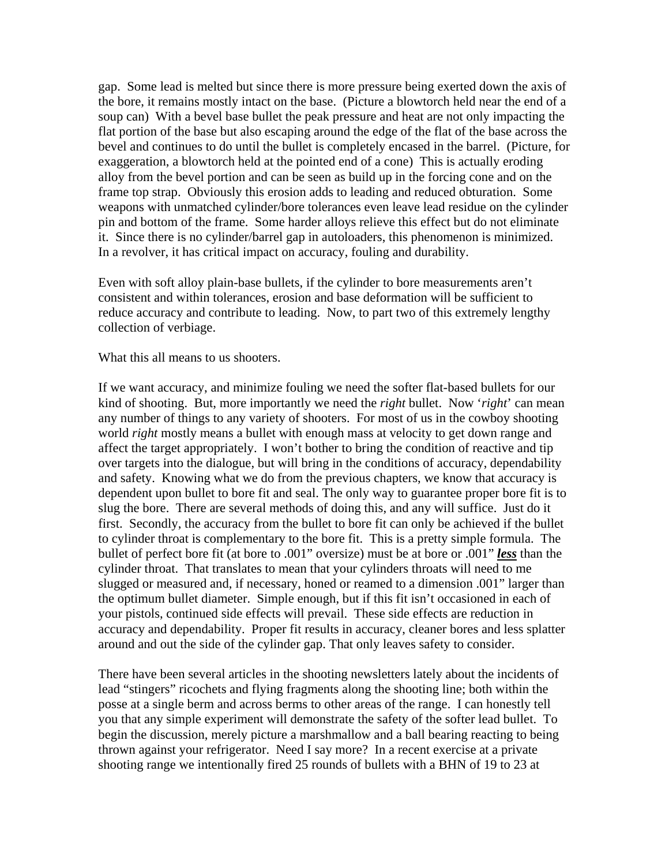gap. Some lead is melted but since there is more pressure being exerted down the axis of the bore, it remains mostly intact on the base. (Picture a blowtorch held near the end of a soup can) With a bevel base bullet the peak pressure and heat are not only impacting the flat portion of the base but also escaping around the edge of the flat of the base across the bevel and continues to do until the bullet is completely encased in the barrel. (Picture, for exaggeration, a blowtorch held at the pointed end of a cone) This is actually eroding alloy from the bevel portion and can be seen as build up in the forcing cone and on the frame top strap. Obviously this erosion adds to leading and reduced obturation. Some weapons with unmatched cylinder/bore tolerances even leave lead residue on the cylinder pin and bottom of the frame. Some harder alloys relieve this effect but do not eliminate it. Since there is no cylinder/barrel gap in autoloaders, this phenomenon is minimized. In a revolver, it has critical impact on accuracy, fouling and durability.

Even with soft alloy plain-base bullets, if the cylinder to bore measurements aren't consistent and within tolerances, erosion and base deformation will be sufficient to reduce accuracy and contribute to leading. Now, to part two of this extremely lengthy collection of verbiage.

#### What this all means to us shooters.

If we want accuracy, and minimize fouling we need the softer flat-based bullets for our kind of shooting. But, more importantly we need the *right* bullet. Now '*right*' can mean any number of things to any variety of shooters. For most of us in the cowboy shooting world *right* mostly means a bullet with enough mass at velocity to get down range and affect the target appropriately. I won't bother to bring the condition of reactive and tip over targets into the dialogue, but will bring in the conditions of accuracy, dependability and safety. Knowing what we do from the previous chapters, we know that accuracy is dependent upon bullet to bore fit and seal. The only way to guarantee proper bore fit is to slug the bore. There are several methods of doing this, and any will suffice. Just do it first. Secondly, the accuracy from the bullet to bore fit can only be achieved if the bullet to cylinder throat is complementary to the bore fit. This is a pretty simple formula. The bullet of perfect bore fit (at bore to .001" oversize) must be at bore or .001" *less* than the cylinder throat. That translates to mean that your cylinders throats will need to me slugged or measured and, if necessary, honed or reamed to a dimension .001" larger than the optimum bullet diameter. Simple enough, but if this fit isn't occasioned in each of your pistols, continued side effects will prevail. These side effects are reduction in accuracy and dependability. Proper fit results in accuracy, cleaner bores and less splatter around and out the side of the cylinder gap. That only leaves safety to consider.

There have been several articles in the shooting newsletters lately about the incidents of lead "stingers" ricochets and flying fragments along the shooting line; both within the posse at a single berm and across berms to other areas of the range. I can honestly tell you that any simple experiment will demonstrate the safety of the softer lead bullet. To begin the discussion, merely picture a marshmallow and a ball bearing reacting to being thrown against your refrigerator. Need I say more? In a recent exercise at a private shooting range we intentionally fired 25 rounds of bullets with a BHN of 19 to 23 at